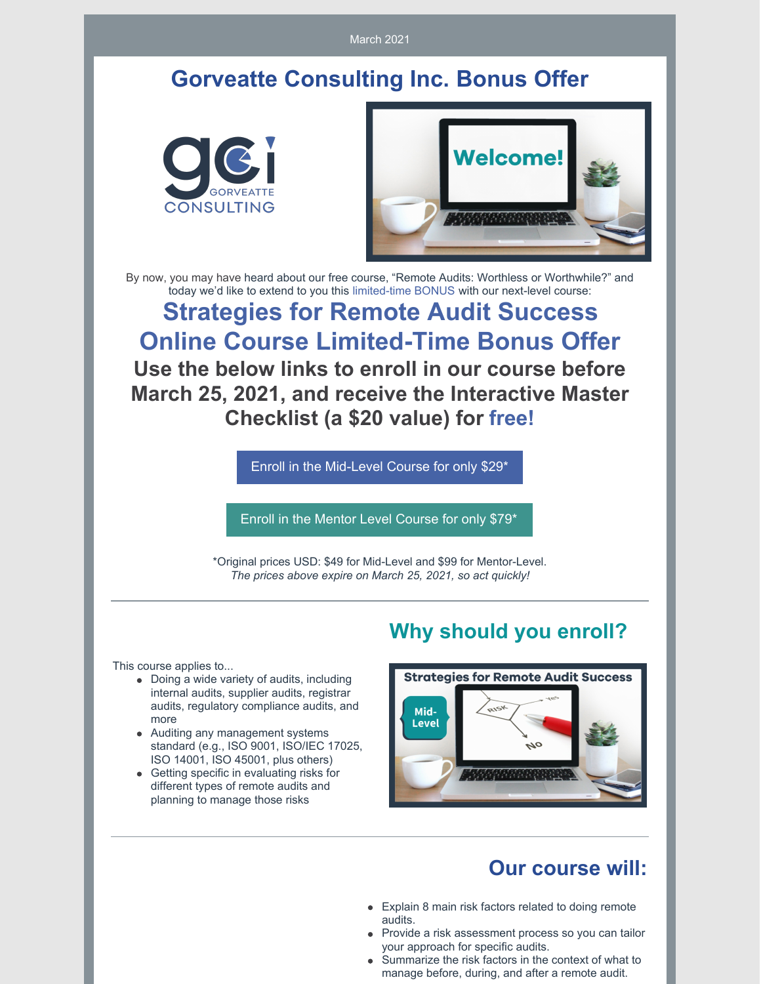March 2021

## **Gorveatte Consulting Inc. Bonus Offer**





By now, you may have heard about our free course, "Remote Audits: Worthless or Worthwhile?" and today we'd like to extend to you this limited-time BONUS with our next-level course:

**Strategies for Remote Audit Success Online Course Limited-Time Bonus Offer Use the below links to enroll in our course before March 25, 2021, and receive the Interactive Master Checklist (a \$20 value) for free!**

Enroll in the [Mid-Level](https://www.innovationtrainer.com/a/2147484016/eSzfFR6p) Course for only \$29\*

Enroll in the Mentor Level [Course](https://www.innovationtrainer.com/a/2147484017/eSzfFR6p) for only \$79\*

\*Original prices USD: \$49 for Mid-Level and \$99 for Mentor-Level. *The prices above expire on March 25, 2021, so act quickly!*

This course applies to...

- Doing a wide variety of audits, including internal audits, supplier audits, registrar audits, regulatory compliance audits, and more
- Auditing any management systems standard (e.g., ISO 9001, ISO/IEC 17025, ISO 14001, ISO 45001, plus others)
- Getting specific in evaluating risks for different types of remote audits and planning to manage those risks

#### **Why should you enroll?**



#### **Our course will:**

- Explain 8 main risk factors related to doing remote audits.
- Provide a risk assessment process so you can tailor your approach for specific audits.
- Summarize the risk factors in the context of what to manage before, during, and after a remote audit.